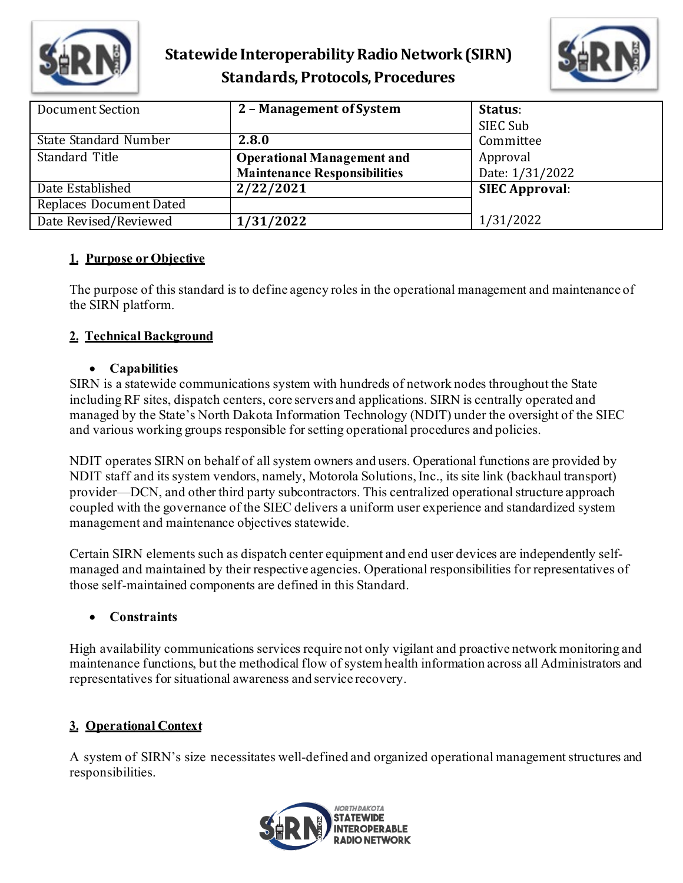



| Document Section               | 2 - Management of System            | Status:<br>SIEC Sub   |
|--------------------------------|-------------------------------------|-----------------------|
| State Standard Number          | 2.8.0                               | Committee             |
| Standard Title                 | <b>Operational Management and</b>   | Approval              |
|                                | <b>Maintenance Responsibilities</b> | Date: 1/31/2022       |
| Date Established               | 2/22/2021                           | <b>SIEC Approval:</b> |
| <b>Replaces Document Dated</b> |                                     |                       |
| Date Revised/Reviewed          | 1/31/2022                           | 1/31/2022             |

#### **1. Purpose or Objective**

The purpose of this standard is to define agency roles in the operational management and maintenance of the SIRN platform.

### **2. Technical Background**

#### • **Capabilities**

SIRN is a statewide communications system with hundreds of network nodes throughout the State including RF sites, dispatch centers, core servers and applications. SIRN is centrally operated and managed by the State's North Dakota Information Technology (NDIT) under the oversight of the SIEC and various working groups responsible for setting operational procedures and policies.

NDIT operates SIRN on behalf of all system owners and users. Operational functions are provided by NDIT staff and its system vendors, namely, Motorola Solutions, Inc., its site link (backhaul transport) provider—DCN, and other third party subcontractors. This centralized operational structure approach coupled with the governance of the SIEC delivers a uniform user experience and standardized system management and maintenance objectives statewide.

Certain SIRN elements such as dispatch center equipment and end user devices are independently selfmanaged and maintained by their respective agencies. Operational responsibilities for representatives of those self-maintained components are defined in this Standard.

### • **Constraints**

High availability communications services require not only vigilant and proactive network monitoring and maintenance functions, but the methodical flow of system health information across all Administrators and representatives for situational awareness and service recovery.

### **3. Operational Context**

A system of SIRN's size necessitates well-defined and organized operational management structures and responsibilities.

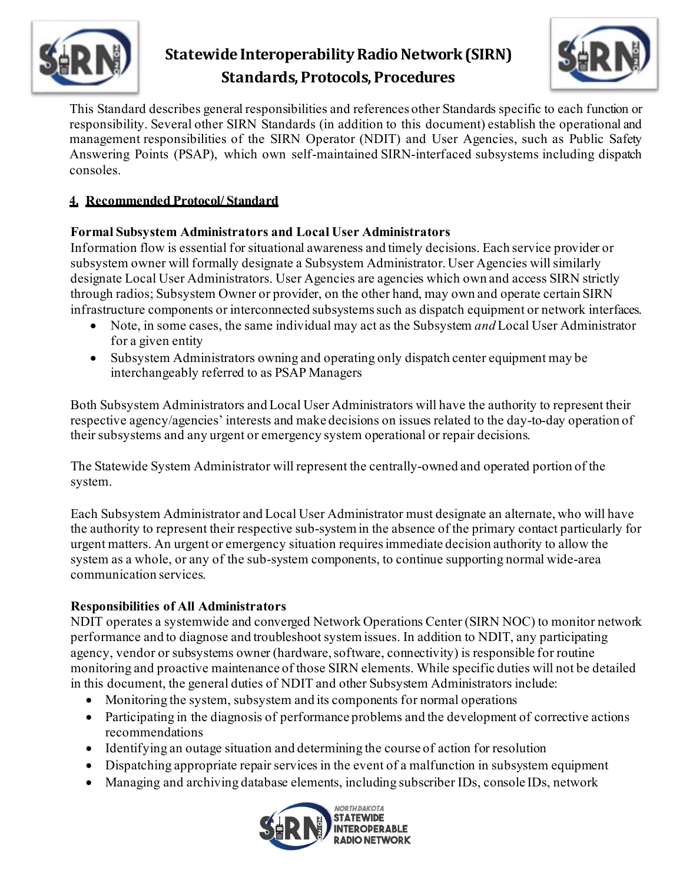



This Standard describes general responsibilities and references other Standards specific to each function or responsibility. Several other SIRN Standards (in addition to this document) establish the operational and management responsibilities of the SIRN Operator (NDIT) and User Agencies, such as Public Safety Answering Points (PSAP), which own self-maintained SIRN-interfaced subsystems including dispatch consoles.

### **4. Recommended Protocol/ Standard**

### **Formal Subsystem Administrators and Local User Administrators**

Information flow is essential for situational awareness and timely decisions. Each service provider or subsystem owner will formally designate a Subsystem Administrator. User Agencies will similarly designate Local User Administrators. User Agencies are agencies which own and access SIRN strictly through radios; Subsystem Owner or provider, on the other hand, may own and operate certain SIRN infrastructure components or interconnected subsystems such as dispatch equipment or network interfaces.

- Note, in some cases, the same individual may act as the Subsystem *and* Local User Administrator for a given entity
- Subsystem Administrators owning and operating only dispatch center equipment may be interchangeably referred to as PSAP Managers

Both Subsystem Administrators and Local User Administrators will have the authority to represent their respective agency/agencies' interests and make decisions on issues related to the day-to-day operation of their subsystems and any urgent or emergency system operational or repair decisions.

The Statewide System Administrator will represent the centrally-owned and operated portion of the system.

Each Subsystem Administrator and Local User Administrator must designate an alternate, who will have the authority to represent their respective sub-system in the absence of the primary contact particularly for urgent matters. An urgent or emergency situation requires immediate decision authority to allow the system as a whole, or any of the sub-system components, to continue supporting normal wide-area communication services.

### **Responsibilities of All Administrators**

NDIT operates a systemwide and converged Network Operations Center (SIRN NOC) to monitor network performance and to diagnose and troubleshoot system issues. In addition to NDIT, any participating agency, vendor or subsystems owner (hardware, software, connectivity) is responsible for routine monitoring and proactive maintenance of those SIRN elements. While specific duties will not be detailed in this document, the general duties of NDIT and other Subsystem Administrators include:

- Monitoring the system, subsystem and its components for normal operations
- Participating in the diagnosis of performance problems and the development of corrective actions recommendations
- Identifying an outage situation and determining the course of action for resolution
- Dispatching appropriate repair services in the event of a malfunction in subsystem equipment
- Managing and archiving database elements, including subscriber IDs, console IDs, network

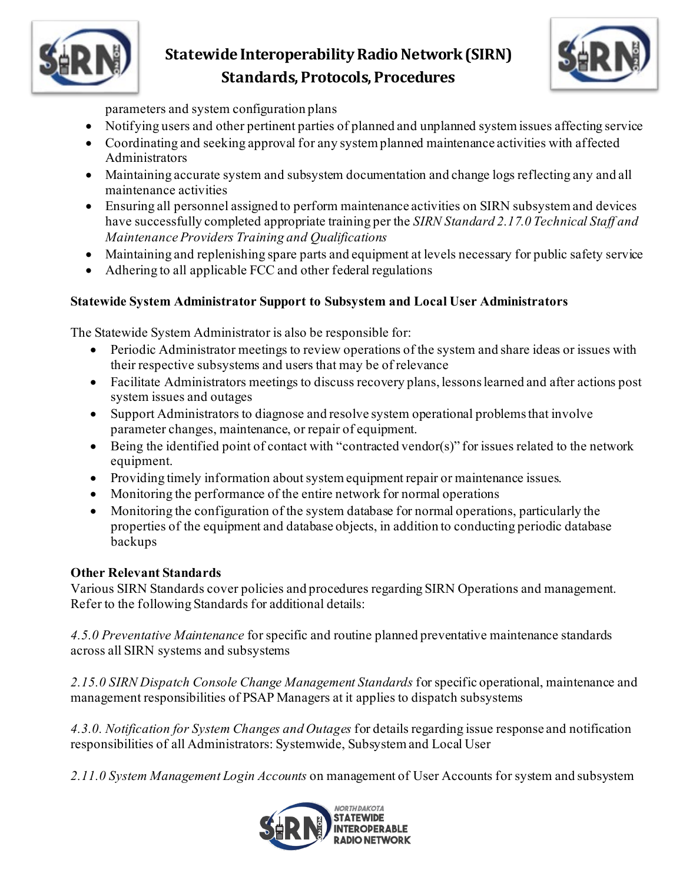



parameters and system configuration plans

- Notifying users and other pertinent parties of planned and unplanned system issues affecting service
- Coordinating and seeking approval for any system planned maintenance activities with affected Administrators
- Maintaining accurate system and subsystem documentation and change logs reflecting any and all maintenance activities
- Ensuring all personnel assigned to perform maintenance activities on SIRN subsystem and devices have successfully completed appropriate training per the *SIRN Standard 2.17.0 Technical Staff and Maintenance Providers Training and Qualifications*
- Maintaining and replenishing spare parts and equipment at levels necessary for public safety service
- Adhering to all applicable FCC and other federal regulations

### **Statewide System Administrator Support to Subsystem and Local User Administrators**

The Statewide System Administrator is also be responsible for:

- Periodic Administrator meetings to review operations of the system and share ideas or issues with their respective subsystems and users that may be of relevance
- Facilitate Administrators meetings to discuss recovery plans, lessons learned and after actions post system issues and outages
- Support Administrators to diagnose and resolve system operational problems that involve parameter changes, maintenance, or repair of equipment.
- Being the identified point of contact with "contracted vendor(s)" for issues related to the network equipment.
- Providing timely information about system equipment repair or maintenance issues.
- Monitoring the performance of the entire network for normal operations
- Monitoring the configuration of the system database for normal operations, particularly the properties of the equipment and database objects, in addition to conducting periodic database backups

### **Other Relevant Standards**

Various SIRN Standards cover policies and procedures regarding SIRN Operations and management. Refer to the following Standards for additional details:

*4.5.0 Preventative Maintenance* for specific and routine planned preventative maintenance standards across all SIRN systems and subsystems

*2.15.0 SIRN Dispatch Console Change Management Standards* for specific operational, maintenance and management responsibilities of PSAP Managers at it applies to dispatch subsystems

*4.3.0. Notification for System Changes and Outages* for details regarding issue response and notification responsibilities of all Administrators: Systemwide, Subsystem and Local User

*2.11.0 System Management Login Accounts* on management of User Accounts for system and subsystem